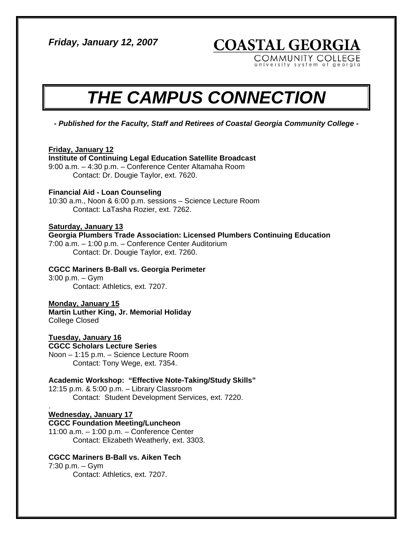*Friday, January 12, 2007* 

**COASTAL GEORGIA** 

COMMUNITY COLLEGE university system of georgia

# *THE CAMPUS CONNECTION*

*- Published for the Faculty, Staff and Retirees of Coastal Georgia Community College -* 

## **Friday, January 12**

#### **Institute of Continuing Legal Education Satellite Broadcast**

9:00 a.m. – 4:30 p.m. – Conference Center Altamaha Room Contact: Dr. Dougie Taylor, ext. 7620.

### **Financial Aid - Loan Counseling**

10:30 a.m., Noon & 6:00 p.m. sessions – Science Lecture Room Contact: LaTasha Rozier, ext. 7262.

## **Saturday, January 13**

**Georgia Plumbers Trade Association: Licensed Plumbers Continuing Education** 

7:00 a.m. – 1:00 p.m. – Conference Center Auditorium Contact: Dr. Dougie Taylor, ext. 7260.

## **CGCC Mariners B-Ball vs. Georgia Perimeter**

3:00 p.m. – Gym Contact: Athletics, ext. 7207.

#### **Monday, January 15**

**Martin Luther King, Jr. Memorial Holiday**  College Closed

**Tuesday, January 16 CGCC Scholars Lecture Series**  Noon – 1:15 p.m. – Science Lecture Room Contact: Tony Wege, ext. 7354.

**Academic Workshop: "Effective Note-Taking/Study Skills"**  12:15 p.m. & 5:00 p.m. – Library Classroom Contact: Student Development Services, ext. 7220.

#### . **Wednesday, January 17**

**CGCC Foundation Meeting/Luncheon**  11:00 a.m. – 1:00 p.m. – Conference Center Contact: Elizabeth Weatherly, ext. 3303.

# **CGCC Mariners B-Ball vs. Aiken Tech**

7:30 p.m. – Gym Contact: Athletics, ext. 7207.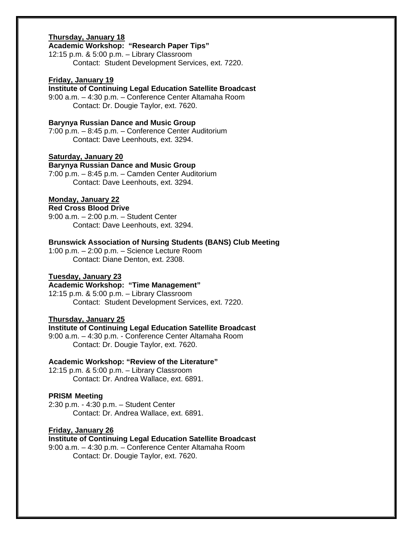## **Thursday, January 18**

## **Academic Workshop: "Research Paper Tips"**

12:15 p.m. & 5:00 p.m. – Library Classroom Contact: Student Development Services, ext. 7220.

#### **Friday, January 19**

**Institute of Continuing Legal Education Satellite Broadcast** 

9:00 a.m. – 4:30 p.m. – Conference Center Altamaha Room Contact: Dr. Dougie Taylor, ext. 7620.

#### **Barynya Russian Dance and Music Group**

7:00 p.m. – 8:45 p.m. – Conference Center Auditorium Contact: Dave Leenhouts, ext. 3294.

## **Saturday, January 20**

**Barynya Russian Dance and Music Group**  7:00 p.m. – 8:45 p.m. – Camden Center Auditorium

Contact: Dave Leenhouts, ext. 3294.

#### **Monday, January 22**

# **Red Cross Blood Drive**

9:00 a.m. – 2:00 p.m. – Student Center Contact: Dave Leenhouts, ext. 3294.

#### **Brunswick Association of Nursing Students (BANS) Club Meeting**

1:00 p.m. – 2:00 p.m. – Science Lecture Room Contact: Diane Denton, ext. 2308.

## **Tuesday, January 23**

# **Academic Workshop: "Time Management"**

12:15 p.m. & 5:00 p.m. – Library Classroom Contact: Student Development Services, ext. 7220.

#### **Thursday, January 25**

## **Institute of Continuing Legal Education Satellite Broadcast**

9:00 a.m. – 4:30 p.m. - Conference Center Altamaha Room Contact: Dr. Dougie Taylor, ext. 7620.

#### **Academic Workshop: "Review of the Literature"**

12:15 p.m. & 5:00 p.m. – Library Classroom Contact: Dr. Andrea Wallace, ext. 6891.

#### **PRISM Meeting**

2:30 p.m. - 4:30 p.m. – Student Center Contact: Dr. Andrea Wallace, ext. 6891.

#### **Friday, January 26**

#### **Institute of Continuing Legal Education Satellite Broadcast**

9:00 a.m. – 4:30 p.m. – Conference Center Altamaha Room Contact: Dr. Dougie Taylor, ext. 7620.